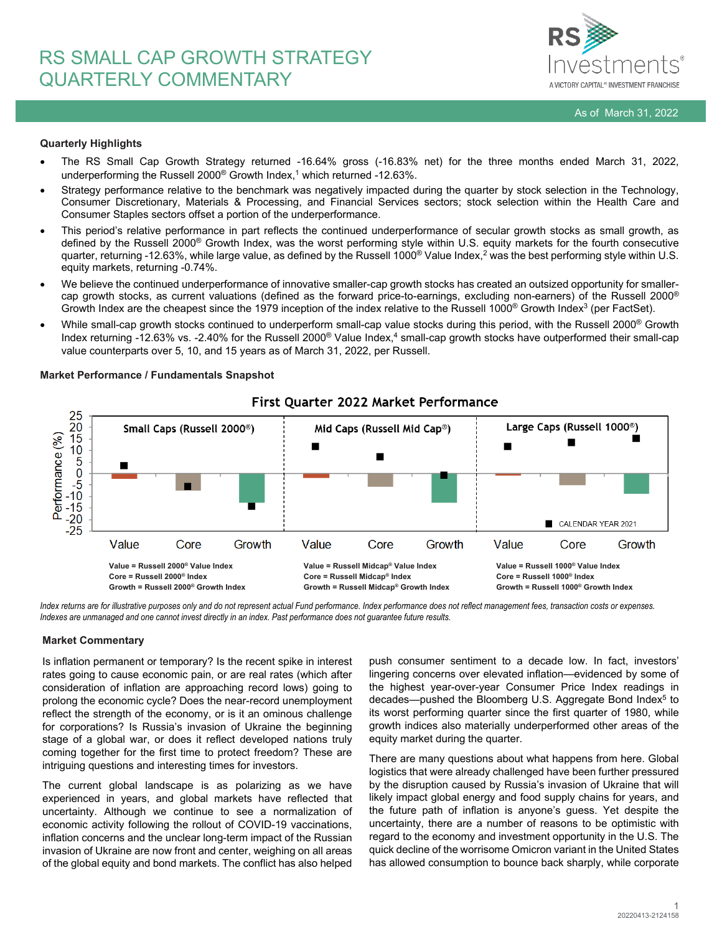

# **Quarterly Highlights**

- The RS Small Cap Growth Strategy returned -16.64% gross (-16.83% net) for the three months ended March 31, 2022, underperforming the Russell 2000® Growth Index, <sup>1</sup> which returned -12.63%.
- Strategy performance relative to the benchmark was negatively impacted during the quarter by stock selection in the Technology, Consumer Discretionary, Materials & Processing, and Financial Services sectors; stock selection within the Health Care and Consumer Staples sectors offset a portion of the underperformance.
- This period's relative performance in part reflects the continued underperformance of secular growth stocks as small growth, as defined by the Russell 2000® Growth Index, was the worst performing style within U.S. equity markets for the fourth consecutive quarter, returning -12.63%, while large value, as defined by the Russell 1000<sup>®</sup> Value Index,<sup>2</sup> was the best performing style within U.S. equity markets, returning -0.74%.
- We believe the continued underperformance of innovative smaller-cap growth stocks has created an outsized opportunity for smallercap growth stocks, as current valuations (defined as the forward price-to-earnings, excluding non-earners) of the Russell 2000® Growth Index are the cheapest since the 1979 inception of the index relative to the Russell 1000<sup>®</sup> Growth Index<sup>3</sup> (per FactSet).
- While small-cap growth stocks continued to underperform small-cap value stocks during this period, with the Russell 2000<sup>®</sup> Growth Index returning -12.63% vs. -2.40% for the Russell 2000<sup>®</sup> Value Index,<sup>4</sup> small-cap growth stocks have outperformed their small-cap value counterparts over 5, 10, and 15 years as of March 31, 2022, per Russell.



## **Market Performance / Fundamentals Snapshot**

*Index returns are for illustrative purposes only and do not represent actual Fund performance. Index performance does not reflect management fees, transaction costs or expenses. Indexes are unmanaged and one cannot invest directly in an index. Past performance does not guarantee future results.*

# **Market Commentary**

Is inflation permanent or temporary? Is the recent spike in interest rates going to cause economic pain, or are real rates (which after consideration of inflation are approaching record lows) going to prolong the economic cycle? Does the near-record unemployment reflect the strength of the economy, or is it an ominous challenge for corporations? Is Russia's invasion of Ukraine the beginning stage of a global war, or does it reflect developed nations truly coming together for the first time to protect freedom? These are intriguing questions and interesting times for investors.

The current global landscape is as polarizing as we have experienced in years, and global markets have reflected that uncertainty. Although we continue to see a normalization of economic activity following the rollout of COVID-19 vaccinations, inflation concerns and the unclear long-term impact of the Russian invasion of Ukraine are now front and center, weighing on all areas of the global equity and bond markets. The conflict has also helped push consumer sentiment to a decade low. In fact, investors' lingering concerns over elevated inflation—evidenced by some of the highest year-over-year Consumer Price Index readings in decades—pushed the Bloomberg U.S. Aggregate Bond Index<sup>5</sup> to its worst performing quarter since the first quarter of 1980, while growth indices also materially underperformed other areas of the equity market during the quarter.

There are many questions about what happens from here. Global logistics that were already challenged have been further pressured by the disruption caused by Russia's invasion of Ukraine that will likely impact global energy and food supply chains for years, and the future path of inflation is anyone's guess. Yet despite the uncertainty, there are a number of reasons to be optimistic with regard to the economy and investment opportunity in the U.S. The quick decline of the worrisome Omicron variant in the United States has allowed consumption to bounce back sharply, while corporate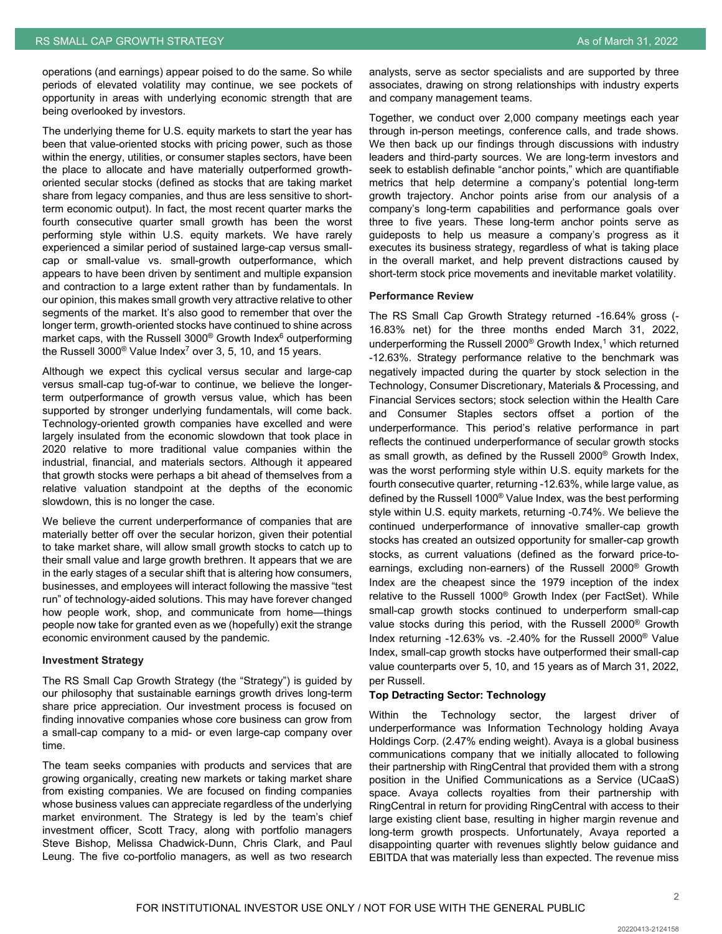operations (and earnings) appear poised to do the same. So while periods of elevated volatility may continue, we see pockets of opportunity in areas with underlying economic strength that are being overlooked by investors.

The underlying theme for U.S. equity markets to start the year has been that value-oriented stocks with pricing power, such as those within the energy, utilities, or consumer staples sectors, have been the place to allocate and have materially outperformed growthoriented secular stocks (defined as stocks that are taking market share from legacy companies, and thus are less sensitive to shortterm economic output). In fact, the most recent quarter marks the fourth consecutive quarter small growth has been the worst performing style within U.S. equity markets. We have rarely experienced a similar period of sustained large-cap versus smallcap or small-value vs. small-growth outperformance, which appears to have been driven by sentiment and multiple expansion and contraction to a large extent rather than by fundamentals. In our opinion, this makes small growth very attractive relative to other segments of the market. It's also good to remember that over the longer term, growth-oriented stocks have continued to shine across market caps, with the Russell  $3000^\circ$  Growth Index<sup>6</sup> outperforming the Russell 3000<sup>®</sup> Value Index<sup>7</sup> over 3, 5, 10, and 15 years.

Although we expect this cyclical versus secular and large-cap versus small-cap tug-of-war to continue, we believe the longerterm outperformance of growth versus value, which has been supported by stronger underlying fundamentals, will come back. Technology-oriented growth companies have excelled and were largely insulated from the economic slowdown that took place in 2020 relative to more traditional value companies within the industrial, financial, and materials sectors. Although it appeared that growth stocks were perhaps a bit ahead of themselves from a relative valuation standpoint at the depths of the economic slowdown, this is no longer the case.

We believe the current underperformance of companies that are materially better off over the secular horizon, given their potential to take market share, will allow small growth stocks to catch up to their small value and large growth brethren. It appears that we are in the early stages of a secular shift that is altering how consumers, businesses, and employees will interact following the massive "test run" of technology-aided solutions. This may have forever changed how people work, shop, and communicate from home—things people now take for granted even as we (hopefully) exit the strange economic environment caused by the pandemic.

## **Investment Strategy**

The RS Small Cap Growth Strategy (the "Strategy") is guided by our philosophy that sustainable earnings growth drives long-term share price appreciation. Our investment process is focused on finding innovative companies whose core business can grow from a small-cap company to a mid- or even large-cap company over time.

The team seeks companies with products and services that are growing organically, creating new markets or taking market share from existing companies. We are focused on finding companies whose business values can appreciate regardless of the underlying market environment. The Strategy is led by the team's chief investment officer, Scott Tracy, along with portfolio managers Steve Bishop, Melissa Chadwick-Dunn, Chris Clark, and Paul Leung. The five co-portfolio managers, as well as two research analysts, serve as sector specialists and are supported by three associates, drawing on strong relationships with industry experts and company management teams.

Together, we conduct over 2,000 company meetings each year through in-person meetings, conference calls, and trade shows. We then back up our findings through discussions with industry leaders and third-party sources. We are long-term investors and seek to establish definable "anchor points," which are quantifiable metrics that help determine a company's potential long-term growth trajectory. Anchor points arise from our analysis of a company's long-term capabilities and performance goals over three to five years. These long-term anchor points serve as guideposts to help us measure a company's progress as it executes its business strategy, regardless of what is taking place in the overall market, and help prevent distractions caused by short-term stock price movements and inevitable market volatility.

#### **Performance Review**

The RS Small Cap Growth Strategy returned -16.64% gross (- 16.83% net) for the three months ended March 31, 2022, underperforming the Russell 2000<sup>®</sup> Growth Index,<sup>1</sup> which returned -12.63%. Strategy performance relative to the benchmark was negatively impacted during the quarter by stock selection in the Technology, Consumer Discretionary, Materials & Processing, and Financial Services sectors; stock selection within the Health Care and Consumer Staples sectors offset a portion of the underperformance. This period's relative performance in part reflects the continued underperformance of secular growth stocks as small growth, as defined by the Russell 2000® Growth Index, was the worst performing style within U.S. equity markets for the fourth consecutive quarter, returning -12.63%, while large value, as defined by the Russell 1000® Value Index, was the best performing style within U.S. equity markets, returning -0.74%. We believe the continued underperformance of innovative smaller-cap growth stocks has created an outsized opportunity for smaller-cap growth stocks, as current valuations (defined as the forward price-toearnings, excluding non-earners) of the Russell 2000® Growth Index are the cheapest since the 1979 inception of the index relative to the Russell 1000® Growth Index (per FactSet). While small-cap growth stocks continued to underperform small-cap value stocks during this period, with the Russell 2000® Growth Index returning -12.63% vs. -2.40% for the Russell 2000® Value Index, small-cap growth stocks have outperformed their small-cap value counterparts over 5, 10, and 15 years as of March 31, 2022, per Russell.

## **Top Detracting Sector: Technology**

Within the Technology sector, the largest driver of underperformance was Information Technology holding Avaya Holdings Corp. (2.47% ending weight). Avaya is a global business communications company that we initially allocated to following their partnership with RingCentral that provided them with a strong position in the Unified Communications as a Service (UCaaS) space. Avaya collects royalties from their partnership with RingCentral in return for providing RingCentral with access to their large existing client base, resulting in higher margin revenue and long-term growth prospects. Unfortunately, Avaya reported a disappointing quarter with revenues slightly below guidance and EBITDA that was materially less than expected. The revenue miss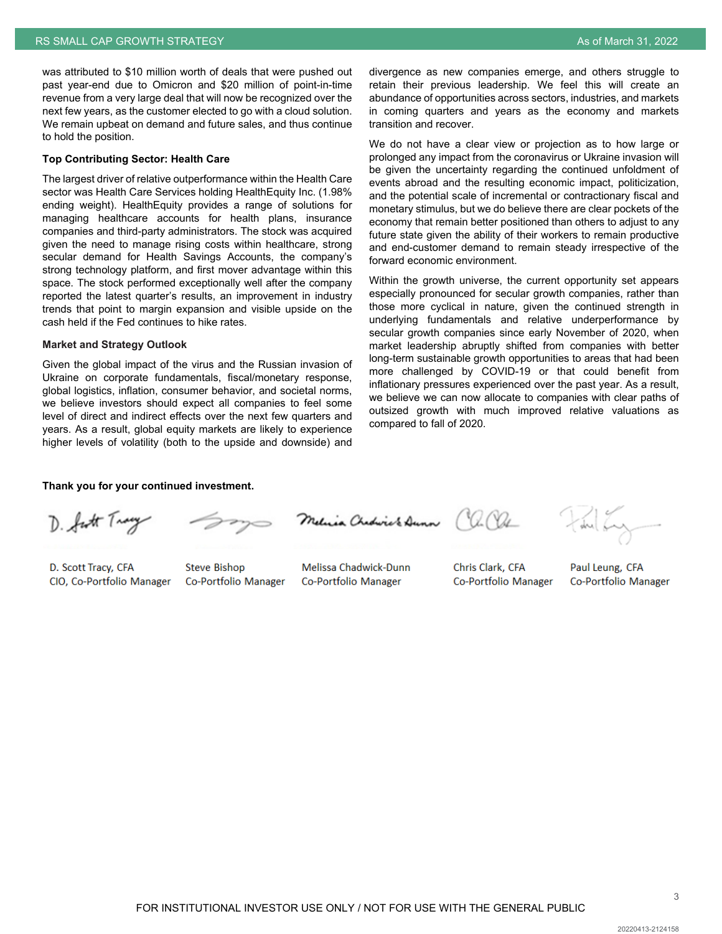was attributed to \$10 million worth of deals that were pushed out past year-end due to Omicron and \$20 million of point-in-time revenue from a very large deal that will now be recognized over the next few years, as the customer elected to go with a cloud solution. We remain upbeat on demand and future sales, and thus continue to hold the position.

### **Top Contributing Sector: Health Care**

The largest driver of relative outperformance within the Health Care sector was Health Care Services holding HealthEquity Inc. (1.98% ending weight). HealthEquity provides a range of solutions for managing healthcare accounts for health plans, insurance companies and third-party administrators. The stock was acquired given the need to manage rising costs within healthcare, strong secular demand for Health Savings Accounts, the company's strong technology platform, and first mover advantage within this space. The stock performed exceptionally well after the company reported the latest quarter's results, an improvement in industry trends that point to margin expansion and visible upside on the cash held if the Fed continues to hike rates.

#### **Market and Strategy Outlook**

Given the global impact of the virus and the Russian invasion of Ukraine on corporate fundamentals, fiscal/monetary response, global logistics, inflation, consumer behavior, and societal norms, we believe investors should expect all companies to feel some level of direct and indirect effects over the next few quarters and years. As a result, global equity markets are likely to experience higher levels of volatility (both to the upside and downside) and divergence as new companies emerge, and others struggle to retain their previous leadership. We feel this will create an abundance of opportunities across sectors, industries, and markets in coming quarters and years as the economy and markets transition and recover.

We do not have a clear view or projection as to how large or prolonged any impact from the coronavirus or Ukraine invasion will be given the uncertainty regarding the continued unfoldment of events abroad and the resulting economic impact, politicization, and the potential scale of incremental or contractionary fiscal and monetary stimulus, but we do believe there are clear pockets of the economy that remain better positioned than others to adjust to any future state given the ability of their workers to remain productive and end-customer demand to remain steady irrespective of the forward economic environment.

Within the growth universe, the current opportunity set appears especially pronounced for secular growth companies, rather than those more cyclical in nature, given the continued strength in underlying fundamentals and relative underperformance by secular growth companies since early November of 2020, when market leadership abruptly shifted from companies with better long-term sustainable growth opportunities to areas that had been more challenged by COVID-19 or that could benefit from inflationary pressures experienced over the past year. As a result, we believe we can now allocate to companies with clear paths of outsized growth with much improved relative valuations as compared to fall of 2020.

#### **Thank you for your continued investment.**

D. fut Tracy

D. Scott Tracy, CFA CIO, Co-Portfolio Manager

Co-Portfolio Manager

**Steve Bishop** 

Melissa Chadwick-Dunn Co-Portfolio Manager

Melica Chedirick Dunn (a. Ol

Co-Portfolio Manager

Chris Clark, CFA

du Ly

Paul Leung, CFA Co-Portfolio Manager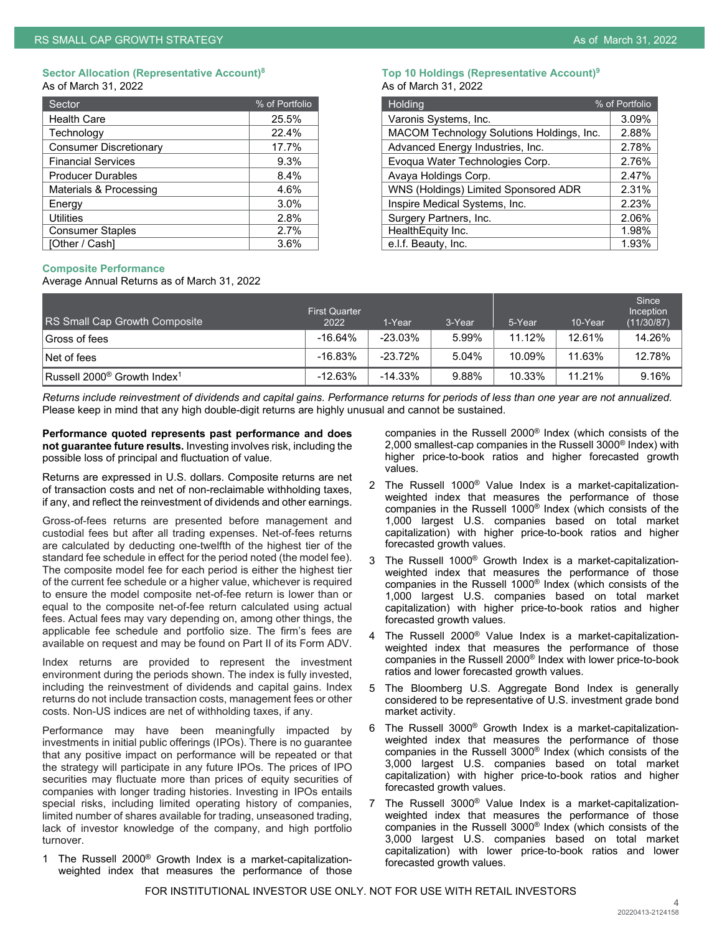#### **Sector Allocation (Representative Account)8 Top 10 Holdings (Representative Account)9** As of March 31, 2022 **As of March 31, 2022**

| Sector                        | % of Portfolio | Holding                                   | % of Portfolio |
|-------------------------------|----------------|-------------------------------------------|----------------|
| <b>Health Care</b>            | 25.5%          | Varonis Systems, Inc.                     | 3.09%          |
| Technology                    | 22.4%          | MACOM Technology Solutions Holdings, Inc. | 2.88%          |
| <b>Consumer Discretionary</b> | 17.7%          | Advanced Energy Industries, Inc.          | 2.78%          |
| <b>Financial Services</b>     | $9.3\%$        | Evoqua Water Technologies Corp.           | 2.76%          |
| <b>Producer Durables</b>      | 8.4%           | Avaya Holdings Corp.                      | 2.47%          |
| Materials & Processing        | 4.6%           | WNS (Holdings) Limited Sponsored ADR      | 2.31%          |
| Energy                        | $3.0\%$        | Inspire Medical Systems, Inc.             | 2.23%          |
| <b>Utilities</b>              | 2.8%           | Surgery Partners, Inc.                    | 2.06%          |
| <b>Consumer Staples</b>       | 2.7%           | HealthEquity Inc.                         | ∣.98%          |
| <b>TOther / Cashl</b>         | 3.6%           | e.l.f. Beauty. Inc.                       | $1.93\%$       |

| Sector                    | % of Portfolio | Holding                                   | % of Portfolio |
|---------------------------|----------------|-------------------------------------------|----------------|
| <b>Health Care</b>        | 25.5%          | Varonis Systems, Inc.                     | 3.09%          |
| Technology                | 22.4%          | MACOM Technology Solutions Holdings, Inc. | 2.88%          |
| Consumer Discretionary    | 17.7%          | Advanced Energy Industries, Inc.          | 2.78%          |
| <b>Financial Services</b> | $9.3\%$        | Evoqua Water Technologies Corp.           | 2.76%          |
| <b>Producer Durables</b>  | 8.4%           | Avaya Holdings Corp.                      | 2.47%          |
| Materials & Processing    | 4.6%           | WNS (Holdings) Limited Sponsored ADR      | 2.31%          |
| Energy                    | $3.0\%$        | Inspire Medical Systems, Inc.             | 2.23%          |
| Utilities                 | 2.8%           | Surgery Partners, Inc.                    | 2.06%          |
| <b>Consumer Staples</b>   | 2.7%           | HealthEquity Inc.                         | 1.98%          |
| [Other / Cash]            | $3.6\%$        | e.l.f. Beauty, Inc.                       | 1.93%          |

# **Composite Performance**

Average Annual Returns as of March 31, 2022

| RS Small Cap Growth Composite                  | <b>First Quarter</b><br>2022 | 1-Year     | 3-Year | 5-Year | 10-Year | Since<br>Inception<br>(11/30/87) |
|------------------------------------------------|------------------------------|------------|--------|--------|---------|----------------------------------|
| Gross of fees                                  | $-16.64%$                    | $-23.03\%$ | 5.99%  | 11.12% | 12.61%  | 14.26%                           |
| Net of fees                                    | $-16.83%$                    | $-23.72%$  | 5.04%  | 10.09% | 11.63%  | 12.78%                           |
| $ {\mathsf{Russell}} $ 2000® Growth Index $^1$ | $-12.63%$                    | $-14.33\%$ | 9.88%  | 10.33% | 11.21%  | 9.16%                            |

*Returns include reinvestment of dividends and capital gains. Performance returns for periods of less than one year are not annualized.* Please keep in mind that any high double-digit returns are highly unusual and cannot be sustained.

**Performance quoted represents past performance and does not guarantee future results.** Investing involves risk, including the possible loss of principal and fluctuation of value.

Returns are expressed in U.S. dollars. Composite returns are net of transaction costs and net of non-reclaimable withholding taxes, if any, and reflect the reinvestment of dividends and other earnings.

Gross-of-fees returns are presented before management and custodial fees but after all trading expenses. Net-of-fees returns are calculated by deducting one-twelfth of the highest tier of the standard fee schedule in effect for the period noted (the model fee). The composite model fee for each period is either the highest tier of the current fee schedule or a higher value, whichever is required to ensure the model composite net-of-fee return is lower than or equal to the composite net-of-fee return calculated using actual fees. Actual fees may vary depending on, among other things, the applicable fee schedule and portfolio size. The firm's fees are available on request and may be found on Part II of its Form ADV.

Index returns are provided to represent the investment environment during the periods shown. The index is fully invested, including the reinvestment of dividends and capital gains. Index returns do not include transaction costs, management fees or other costs. Non-US indices are net of withholding taxes, if any.

Performance may have been meaningfully impacted by investments in initial public offerings (IPOs). There is no guarantee that any positive impact on performance will be repeated or that the strategy will participate in any future IPOs. The prices of IPO securities may fluctuate more than prices of equity securities of companies with longer trading histories. Investing in IPOs entails special risks, including limited operating history of companies, limited number of shares available for trading, unseasoned trading, lack of investor knowledge of the company, and high portfolio turnover.

1 The Russell 2000® Growth Index is a market-capitalizationweighted index that measures the performance of those companies in the Russell 2000® Index (which consists of the 2,000 smallest-cap companies in the Russell 3000® Index) with higher price-to-book ratios and higher forecasted growth values.

- The Russell 1000<sup>®</sup> Value Index is a market-capitalizationweighted index that measures the performance of those companies in the Russell 1000® Index (which consists of the 1,000 largest U.S. companies based on total market capitalization) with higher price-to-book ratios and higher forecasted growth values.
- 3 The Russell 1000® Growth Index is a market-capitalizationweighted index that measures the performance of those companies in the Russell 1000® Index (which consists of the 1,000 largest U.S. companies based on total market capitalization) with higher price-to-book ratios and higher forecasted growth values.
- 4 The Russell 2000® Value Index is a market-capitalizationweighted index that measures the performance of those companies in the Russell 2000® Index with lower price-to-book ratios and lower forecasted growth values.
- 5 The Bloomberg U.S. Aggregate Bond Index is generally considered to be representative of U.S. investment grade bond market activity.
- 6 The Russell 3000® Growth Index is a market-capitalizationweighted index that measures the performance of those companies in the Russell 3000® Index (which consists of the 3,000 largest U.S. companies based on total market capitalization) with higher price-to-book ratios and higher forecasted growth values.
- 7 The Russell 3000® Value Index is a market-capitalizationweighted index that measures the performance of those companies in the Russell 3000® Index (which consists of the 3,000 largest U.S. companies based on total market capitalization) with lower price-to-book ratios and lower forecasted growth values.